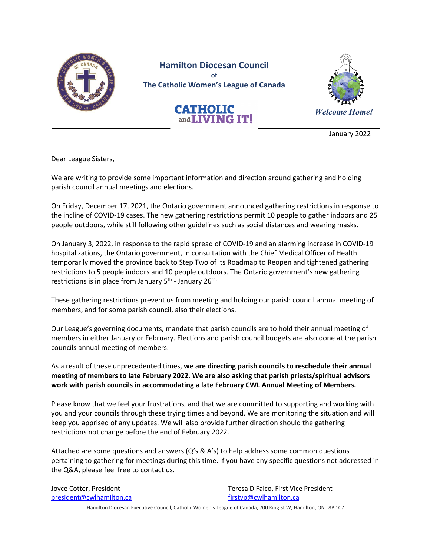

**Hamilton Diocesan Council of The Catholic Women's League of Canada**

**CATHOLIC**<br>and**LIVING IT!** 



January 2022

Dear League Sisters,

We are writing to provide some important information and direction around gathering and holding parish council annual meetings and elections.

On Friday, December 17, 2021, the Ontario government announced gathering restrictions in response to the incline of COVID-19 cases. The new gathering restrictions permit 10 people to gather indoors and 25 people outdoors, while still following other guidelines such as social distances and wearing masks.

On January 3, 2022, in response to the rapid spread of COVID-19 and an alarming increase in COVID-19 hospitalizations, the Ontario government, in consultation with the Chief Medical Officer of Health temporarily moved the province back to Step Two of its Roadmap to Reopen and tightened gathering restrictions to 5 people indoors and 10 people outdoors. The Ontario government's new gathering restrictions is in place from January 5<sup>th</sup> - January 26<sup>th.</sup>

These gathering restrictions prevent us from meeting and holding our parish council annual meeting of members, and for some parish council, also their elections.

Our League's governing documents, mandate that parish councils are to hold their annual meeting of members in either January or February. Elections and parish council budgets are also done at the parish councils annual meeting of members.

As a result of these unprecedented times, **we are directing parish councils to reschedule their annual meeting of members to late February 2022. We are also asking that parish priests/spiritual advisors work with parish councils in accommodating a late February CWL Annual Meeting of Members.**

Please know that we feel your frustrations, and that we are committed to supporting and working with you and your councils through these trying times and beyond. We are monitoring the situation and will keep you apprised of any updates. We will also provide further direction should the gathering restrictions not change before the end of February 2022.

Attached are some questions and answers ( $Q'$ s & A's) to help address some common questions pertaining to gathering for meetings during this time. If you have any specific questions not addressed in the Q&A, please feel free to contact us.

president@cwlhamilton.ca firstvp@cwlhamilton.ca

Joyce Cotter, President Teresa DiFalco, First Vice President

Hamilton Diocesan Executive Council, Catholic Women's League of Canada, 700 King St W, Hamilton, ON L8P 1C7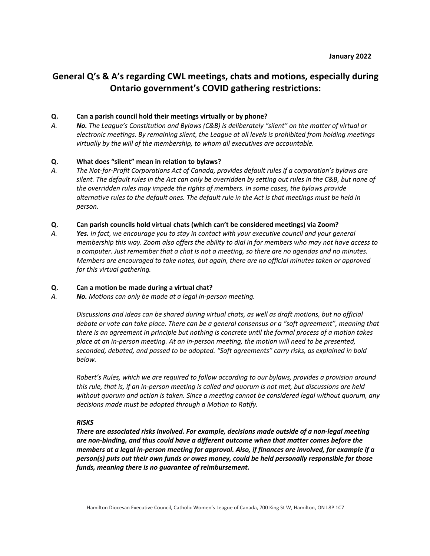# **General Q's & A's regarding CWL meetings, chats and motions, especially during Ontario government's COVID gathering restrictions:**

# **Q. Can a parish council hold their meetings virtually or by phone?**

*A. No. The League's Constitution and Bylaws (C&B) is deliberately "silent" on the matter of virtual or electronic meetings. By remaining silent, the League at all levels is prohibited from holding meetings virtually by the will of the membership, to whom all executives are accountable.*

# **Q. What does "silent" mean in relation to bylaws?**

*A. The Not-for-Profit Corporations Act of Canada, provides default rules if a corporation's bylaws are silent. The default rules in the Act can only be overridden by setting out rules in the C&B, but none of the overridden rules may impede the rights of members. In some cases, the bylaws provide alternative rules to the default ones. The default rule in the Act is that meetings must be held in person.*

# **Q. Can parish councils hold virtual chats (which can't be considered meetings) via Zoom?**

*A. Yes. In fact, we encourage you to stay in contact with your executive council and your general membership this way. Zoom also offers the ability to dial in for members who may not have access to a computer. Just remember that a chat is not a meeting, so there are no agendas and no minutes. Members are encouraged to take notes, but again, there are no official minutes taken or approved for this virtual gathering.*

#### **Q. Can a motion be made during a virtual chat?**

*A. No. Motions can only be made at a legal in-person meeting.* 

*Discussions and ideas can be shared during virtual chats, as well as draft motions, but no official debate or vote can take place. There can be a general consensus or a "soft agreement", meaning that there is an agreement in principle but nothing is concrete until the formal process of a motion takes place at an in-person meeting. At an in-person meeting, the motion will need to be presented, seconded, debated, and passed to be adopted. "Soft agreements" carry risks, as explained in bold below.* 

*Robert's Rules, which we are required to follow according to our bylaws, provides a provision around this rule, that is, if an in-person meeting is called and quorum is not met, but discussions are held without quorum and action is taken. Since a meeting cannot be considered legal without quorum, any decisions made must be adopted through a Motion to Ratify.* 

#### *RISKS*

*There are associated risks involved. For example, decisions made outside of a non-legal meeting are non-binding, and thus could have a different outcome when that matter comes before the members at a legal in-person meeting for approval. Also, if finances are involved, for example if a person(s) puts out their own funds or owes money, could be held personally responsible for those funds, meaning there is no guarantee of reimbursement.*